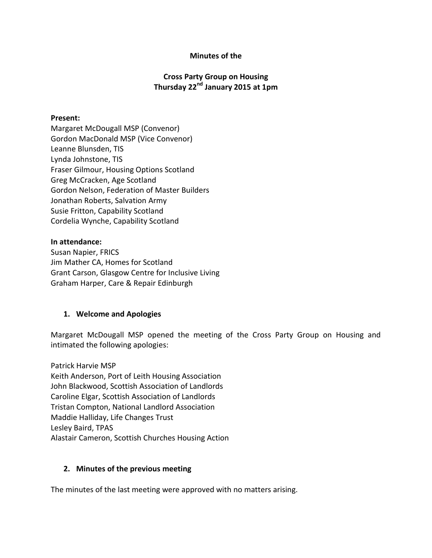### **Minutes of the**

## **Cross Party Group on Housing Thursday 22nd January 2015 at 1pm**

#### **Present:**

Margaret McDougall MSP (Convenor) Gordon MacDonald MSP (Vice Convenor) Leanne Blunsden, TIS Lynda Johnstone, TIS Fraser Gilmour, Housing Options Scotland Greg McCracken, Age Scotland Gordon Nelson, Federation of Master Builders Jonathan Roberts, Salvation Army Susie Fritton, Capability Scotland Cordelia Wynche, Capability Scotland

#### **In attendance:**

Susan Napier, FRICS Jim Mather CA, Homes for Scotland Grant Carson, Glasgow Centre for Inclusive Living Graham Harper, Care & Repair Edinburgh

### **1. Welcome and Apologies**

Margaret McDougall MSP opened the meeting of the Cross Party Group on Housing and intimated the following apologies:

Patrick Harvie MSP Keith Anderson, Port of Leith Housing Association John Blackwood, Scottish Association of Landlords Caroline Elgar, Scottish Association of Landlords Tristan Compton, National Landlord Association Maddie Halliday, Life Changes Trust Lesley Baird, TPAS Alastair Cameron, Scottish Churches Housing Action

### **2. Minutes of the previous meeting**

The minutes of the last meeting were approved with no matters arising.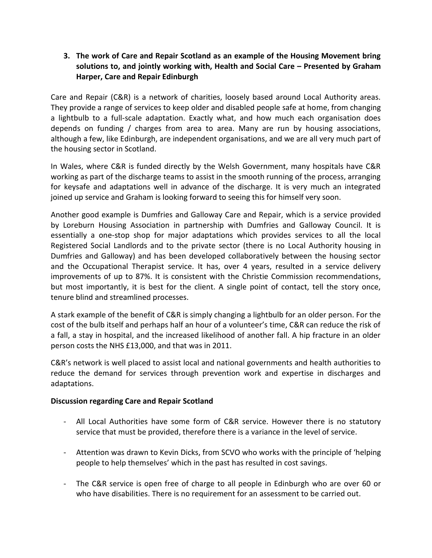## **3. The work of Care and Repair Scotland as an example of the Housing Movement bring solutions to, and jointly working with, Health and Social Care – Presented by Graham Harper, Care and Repair Edinburgh**

Care and Repair (C&R) is a network of charities, loosely based around Local Authority areas. They provide a range of services to keep older and disabled people safe at home, from changing a lightbulb to a full-scale adaptation. Exactly what, and how much each organisation does depends on funding / charges from area to area. Many are run by housing associations, although a few, like Edinburgh, are independent organisations, and we are all very much part of the housing sector in Scotland.

In Wales, where C&R is funded directly by the Welsh Government, many hospitals have C&R working as part of the discharge teams to assist in the smooth running of the process, arranging for keysafe and adaptations well in advance of the discharge. It is very much an integrated joined up service and Graham is looking forward to seeing this for himself very soon.

Another good example is Dumfries and Galloway Care and Repair, which is a service provided by Loreburn Housing Association in partnership with Dumfries and Galloway Council. It is essentially a one-stop shop for major adaptations which provides services to all the local Registered Social Landlords and to the private sector (there is no Local Authority housing in Dumfries and Galloway) and has been developed collaboratively between the housing sector and the Occupational Therapist service. It has, over 4 years, resulted in a service delivery improvements of up to 87%. It is consistent with the Christie Commission recommendations, but most importantly, it is best for the client. A single point of contact, tell the story once, tenure blind and streamlined processes.

A stark example of the benefit of C&R is simply changing a lightbulb for an older person. For the cost of the bulb itself and perhaps half an hour of a volunteer's time, C&R can reduce the risk of a fall, a stay in hospital, and the increased likelihood of another fall. A hip fracture in an older person costs the NHS £13,000, and that was in 2011.

C&R's network is well placed to assist local and national governments and health authorities to reduce the demand for services through prevention work and expertise in discharges and adaptations.

## **Discussion regarding Care and Repair Scotland**

- All Local Authorities have some form of C&R service. However there is no statutory service that must be provided, therefore there is a variance in the level of service.
- Attention was drawn to Kevin Dicks, from SCVO who works with the principle of 'helping people to help themselves' which in the past has resulted in cost savings.
- The C&R service is open free of charge to all people in Edinburgh who are over 60 or who have disabilities. There is no requirement for an assessment to be carried out.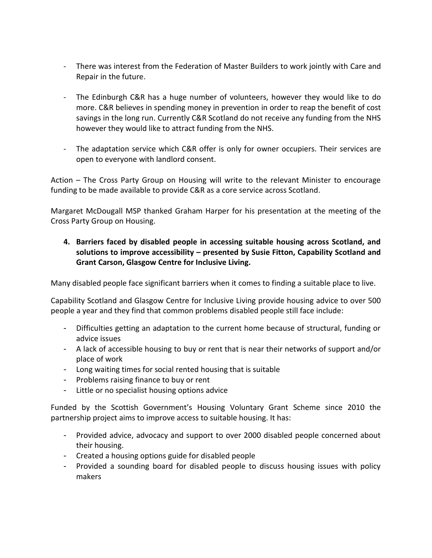- There was interest from the Federation of Master Builders to work jointly with Care and Repair in the future.
- The Edinburgh C&R has a huge number of volunteers, however they would like to do more. C&R believes in spending money in prevention in order to reap the benefit of cost savings in the long run. Currently C&R Scotland do not receive any funding from the NHS however they would like to attract funding from the NHS.
- The adaptation service which C&R offer is only for owner occupiers. Their services are open to everyone with landlord consent.

Action – The Cross Party Group on Housing will write to the relevant Minister to encourage funding to be made available to provide C&R as a core service across Scotland.

Margaret McDougall MSP thanked Graham Harper for his presentation at the meeting of the Cross Party Group on Housing.

**4. Barriers faced by disabled people in accessing suitable housing across Scotland, and solutions to improve accessibility – presented by Susie Fitton, Capability Scotland and Grant Carson, Glasgow Centre for Inclusive Living.**

Many disabled people face significant barriers when it comes to finding a suitable place to live.

Capability Scotland and Glasgow Centre for Inclusive Living provide housing advice to over 500 people a year and they find that common problems disabled people still face include:

- Difficulties getting an adaptation to the current home because of structural, funding or advice issues
- A lack of accessible housing to buy or rent that is near their networks of support and/or place of work
- Long waiting times for social rented housing that is suitable
- Problems raising finance to buy or rent
- Little or no specialist housing options advice

Funded by the Scottish Government's Housing Voluntary Grant Scheme since 2010 the partnership project aims to improve access to suitable housing. It has:

- Provided advice, advocacy and support to over 2000 disabled people concerned about their housing.
- Created a housing options guide for disabled people
- Provided a sounding board for disabled people to discuss housing issues with policy makers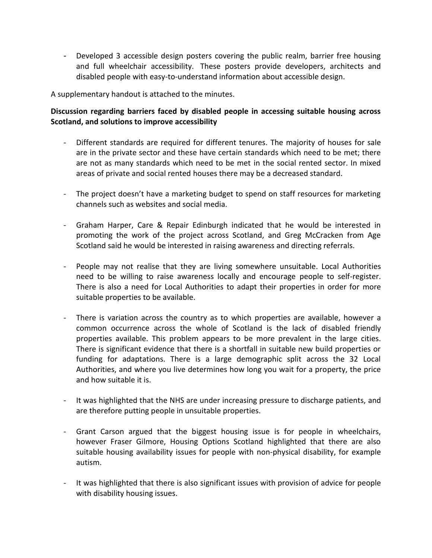- Developed 3 accessible design posters covering the public realm, barrier free housing and full wheelchair accessibility. These posters provide developers, architects and disabled people with easy-to-understand information about accessible design.

A supplementary handout is attached to the minutes.

# **Discussion regarding barriers faced by disabled people in accessing suitable housing across Scotland, and solutions to improve accessibility**

- Different standards are required for different tenures. The majority of houses for sale are in the private sector and these have certain standards which need to be met; there are not as many standards which need to be met in the social rented sector. In mixed areas of private and social rented houses there may be a decreased standard.
- The project doesn't have a marketing budget to spend on staff resources for marketing channels such as websites and social media.
- Graham Harper, Care & Repair Edinburgh indicated that he would be interested in promoting the work of the project across Scotland, and Greg McCracken from Age Scotland said he would be interested in raising awareness and directing referrals.
- People may not realise that they are living somewhere unsuitable. Local Authorities need to be willing to raise awareness locally and encourage people to self-register. There is also a need for Local Authorities to adapt their properties in order for more suitable properties to be available.
- There is variation across the country as to which properties are available, however a common occurrence across the whole of Scotland is the lack of disabled friendly properties available. This problem appears to be more prevalent in the large cities. There is significant evidence that there is a shortfall in suitable new build properties or funding for adaptations. There is a large demographic split across the 32 Local Authorities, and where you live determines how long you wait for a property, the price and how suitable it is.
- It was highlighted that the NHS are under increasing pressure to discharge patients, and are therefore putting people in unsuitable properties.
- Grant Carson argued that the biggest housing issue is for people in wheelchairs, however Fraser Gilmore, Housing Options Scotland highlighted that there are also suitable housing availability issues for people with non-physical disability, for example autism.
- It was highlighted that there is also significant issues with provision of advice for people with disability housing issues.